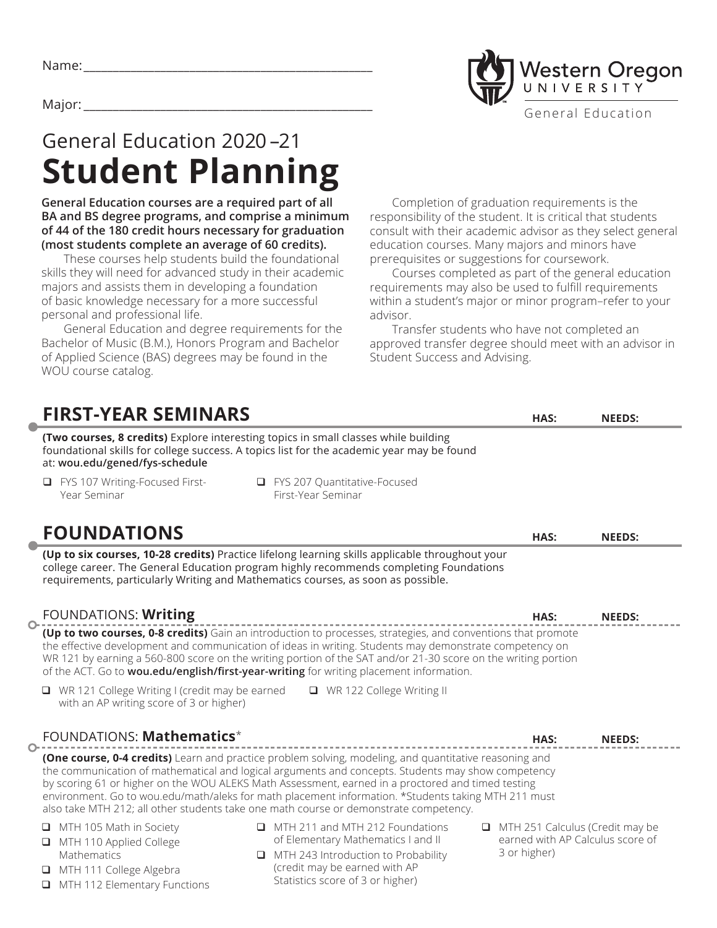

# General Education 2020 –21 **Student Planning**

**General Education courses are a required part of all BA and BS degree programs, and comprise a minimum of 44 of the 180 credit hours necessary for graduation (most students complete an average of 60 credits).** 

These courses help students build the foundational skills they will need for advanced study in their academic majors and assists them in developing a foundation of basic knowledge necessary for a more successful personal and professional life.

General Education and degree requirements for the Bachelor of Music (B.M.), Honors Program and Bachelor of Applied Science (BAS) degrees may be found in the WOU course catalog.

Completion of graduation requirements is the responsibility of the student. It is critical that students consult with their academic advisor as they select general education courses. Many majors and minors have prerequisites or suggestions for coursework.

Courses completed as part of the general education requirements may also be used to fulfill requirements within a student's major or minor program–refer to your advisor.

Transfer students who have not completed an approved transfer degree should meet with an advisor in Student Success and Advising.

| <b>FIRST-YEAR SEMINARS</b>                                                                                                         |                                                                                                                                                                                                                                                                                                                                                                                                                                                                                                                   | HAS:                                                                                | <b>NEEDS:</b> |
|------------------------------------------------------------------------------------------------------------------------------------|-------------------------------------------------------------------------------------------------------------------------------------------------------------------------------------------------------------------------------------------------------------------------------------------------------------------------------------------------------------------------------------------------------------------------------------------------------------------------------------------------------------------|-------------------------------------------------------------------------------------|---------------|
| at: wou.edu/gened/fys-schedule                                                                                                     | (Two courses, 8 credits) Explore interesting topics in small classes while building<br>foundational skills for college success. A topics list for the academic year may be found                                                                                                                                                                                                                                                                                                                                  |                                                                                     |               |
| FYS 107 Writing-Focused First-<br>Year Seminar                                                                                     | □ FYS 207 Quantitative-Focused<br>First-Year Seminar                                                                                                                                                                                                                                                                                                                                                                                                                                                              |                                                                                     |               |
| <b>FOUNDATIONS</b>                                                                                                                 |                                                                                                                                                                                                                                                                                                                                                                                                                                                                                                                   | HAS:                                                                                | <b>NEEDS:</b> |
|                                                                                                                                    | (Up to six courses, 10-28 credits) Practice lifelong learning skills applicable throughout your<br>college career. The General Education program highly recommends completing Foundations<br>requirements, particularly Writing and Mathematics courses, as soon as possible.                                                                                                                                                                                                                                     |                                                                                     |               |
| FOUNDATIONS: Writing<br>$\bigcap$                                                                                                  |                                                                                                                                                                                                                                                                                                                                                                                                                                                                                                                   | HAS:                                                                                | <b>NEEDS:</b> |
|                                                                                                                                    | (Up to two courses, 0-8 credits) Gain an introduction to processes, strategies, and conventions that promote<br>the effective development and communication of ideas in writing. Students may demonstrate competency on<br>WR 121 by earning a 560-800 score on the writing portion of the SAT and/or 21-30 score on the writing portion<br>of the ACT. Go to wou.edu/english/first-year-writing for writing placement information.                                                                               |                                                                                     |               |
| □ WR 121 College Writing I (credit may be earned<br>with an AP writing score of 3 or higher)                                       | □ WR 122 College Writing II                                                                                                                                                                                                                                                                                                                                                                                                                                                                                       |                                                                                     |               |
| FOUNDATIONS: Mathematics*                                                                                                          |                                                                                                                                                                                                                                                                                                                                                                                                                                                                                                                   | HAS:                                                                                | <b>NEEDS:</b> |
| ◠                                                                                                                                  | (One course, 0-4 credits) Learn and practice problem solving, modeling, and quantitative reasoning and<br>the communication of mathematical and logical arguments and concepts. Students may show competency<br>by scoring 61 or higher on the WOU ALEKS Math Assessment, earned in a proctored and timed testing<br>environment. Go to wou.edu/math/aleks for math placement information. *Students taking MTH 211 must<br>also take MTH 212; all other students take one math course or demonstrate competency. |                                                                                     |               |
| MTH 105 Math in Society<br>MTH 110 Applied College<br>Mathematics<br>MTH 111 College Algebra<br>u.<br>MTH 112 Elementary Functions | IMTH 211 and MTH 212 Foundations<br>of Elementary Mathematics I and II<br>$\Box$ MTH 243 Introduction to Probability<br>(credit may be earned with AP<br>Statistics score of 3 or higher)                                                                                                                                                                                                                                                                                                                         | MTH 251 Calculus (Credit may be<br>earned with AP Calculus score of<br>3 or higher) |               |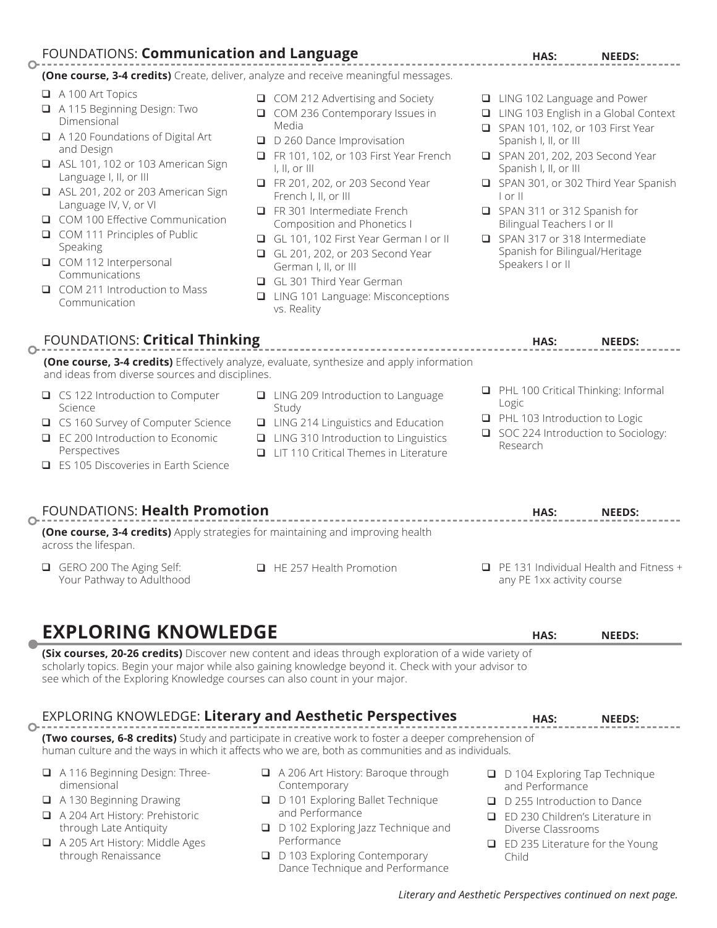## FOUNDATIONS: **Communication and Language**

**(One course, 3-4 credits)** Create, deliver, analyze and receive meaningful messages.

A 100 Art Topics

 $\overline{O}$ 

- A 115 Beginning Design: Two Dimensional
- **■** A 120 Foundations of Digital Art and Design
- **■** ASL 101, 102 or 103 American Sign Language I, II, or III
- **■** ASL 201, 202 or 203 American Sign Language IV, V, or VI
- **□** COM 100 Effective Communication
- Q COM 111 Principles of Public Speaking
- □ COM 112 Interpersonal Communications
- **□** COM 211 Introduction to Mass Communication
- $\Box$  COM 212 Advertising and Society
- □ COM 236 Contemporary Issues in Media
- D 260 Dance Improvisation
- **Q** FR 101, 102, or 103 First Year French I, II, or III
- **Q** FR 201, 202, or 203 Second Year French I, II, or III
- **□** FR 301 Intermediate French Composition and Phonetics I
- **Q GL 101, 102 First Year German I or II**
- GL 201, 202, or 203 Second Year German I, II, or III
- GL 301 Third Year German
- **□** LING 101 Language: Misconceptions vs. Reality
- **□** LING 102 Language and Power
- **□** LING 103 English in a Global Context
- **Q** SPAN 101, 102, or 103 First Year Spanish I, II, or III
- **Q** SPAN 201, 202, 203 Second Year Spanish I, II, or III
- q SPAN 301, or 302 Third Year Spanish I or II
- q SPAN 311 or 312 Spanish for Bilingual Teachers I or II
- □ SPAN 317 or 318 Intermediate Spanish for Bilingual/Heritage Speakers I or II

| FOUNDATIONS: Critical Thinking                                                                                                                                                            |                                                                                                                                                                                                               |   | HAS:                                                                                                                            | <b>NEEDS:</b> |
|-------------------------------------------------------------------------------------------------------------------------------------------------------------------------------------------|---------------------------------------------------------------------------------------------------------------------------------------------------------------------------------------------------------------|---|---------------------------------------------------------------------------------------------------------------------------------|---------------|
| and ideas from diverse sources and disciplines.                                                                                                                                           | (One course, 3-4 credits) Effectively analyze, evaluate, synthesize and apply information                                                                                                                     |   |                                                                                                                                 |               |
| □ CS 122 Introduction to Computer<br>Science<br>□ CS 160 Survey of Computer Science<br>EC 200 Introduction to Economic<br>□<br>Perspectives<br>$\Box$ ES 105 Discoveries in Earth Science | □ LING 209 Introduction to Language<br>Study<br>$\Box$ LING 214 Linguistics and Education<br>$\Box$ LING 310 Introduction to Linguistics<br>$\Box$ IIT 110 Critical Themes in Literature                      | □ | PHL 100 Critical Thinking: Informal<br>Logic<br>PHL 103 Introduction to Logic<br>SOC 224 Introduction to Sociology:<br>Research |               |
| FOUNDATIONS: Health Promotion<br>across the lifespan.                                                                                                                                     | (One course, 3-4 credits) Apply strategies for maintaining and improving health                                                                                                                               |   | HAS:                                                                                                                            | <b>NEEDS:</b> |
| GERO 200 The Aging Self:<br>$\Box$<br>Your Pathway to Adulthood                                                                                                                           | $\Box$ HE 257 Health Promotion                                                                                                                                                                                |   | PE 131 Individual Health and Fitness +<br>any PE 1xx activity course                                                            |               |
| <b>EXPLORING KNOWLEDGE</b>                                                                                                                                                                |                                                                                                                                                                                                               |   | HAS:                                                                                                                            | <b>NEEDS:</b> |
| see which of the Exploring Knowledge courses can also count in your major.                                                                                                                | (Six courses, 20-26 credits) Discover new content and ideas through exploration of a wide variety of<br>scholarly topics. Begin your major while also gaining knowledge beyond it. Check with your advisor to |   |                                                                                                                                 |               |
|                                                                                                                                                                                           | <b>EXPLORING KNOWLEDGE: Literary and Aesthetic Perspectives</b>                                                                                                                                               |   | HAS:                                                                                                                            | <b>NEEDS:</b> |

**(Two courses, 6-8 credits)** Study and participate in creative work to foster a deeper comprehension of human culture and the ways in which it affects who we are, both as communities and as individuals.

- A 116 Beginning Design: Threedimensional
- A 130 Beginning Drawing

 $\Omega$ 

- q A 204 Art History: Prehistoric through Late Antiquity
- A 205 Art History: Middle Ages through Renaissance
- A 206 Art History: Baroque through Contemporary
- **□** D 101 Exploring Ballet Technique and Performance
- $\Box$  D 102 Exploring Jazz Technique and Performance
- D 103 Exploring Contemporary Dance Technique and Performance
- D 104 Exploring Tap Technique and Performance
- D 255 Introduction to Dance
- **□** ED 230 Children's Literature in Diverse Classrooms
- $\Box$  ED 235 Literature for the Young Child

**HAS: NEEDS:**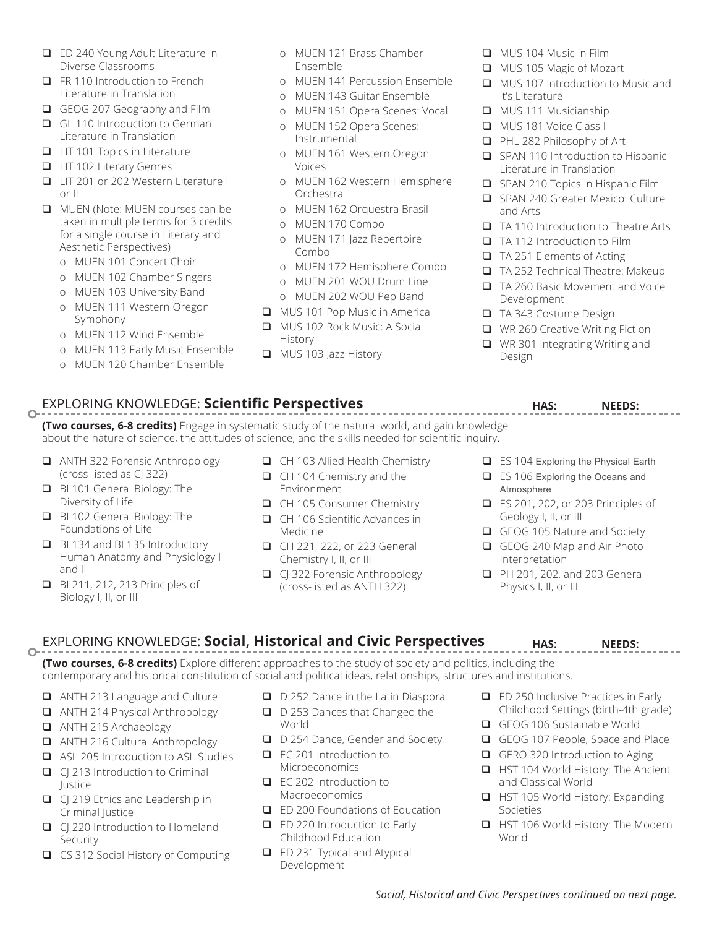- **□** ED 240 Young Adult Literature in Diverse Classrooms
- **Q** FR 110 Introduction to French Literature in Translation
- GEOG 207 Geography and Film
- GL 110 Introduction to German Literature in Translation
- $\Box$  LIT 101 Topics in Literature
- **Q** LIT 102 Literary Genres
- **□** LIT 201 or 202 Western Literature I or II
- **Q** MUEN (Note: MUEN courses can be taken in multiple terms for 3 credits for a single course in Literary and Aesthetic Perspectives)
	- o MUEN 101 Concert Choir
	- o MUEN 102 Chamber Singers
	- o MUEN 103 University Band
	- o MUEN 111 Western Oregon Symphony
	- o MUEN 112 Wind Ensemble
	- o MUEN 113 Early Music Ensemble
	- o MUEN 120 Chamber Ensemble
- o MUEN 121 Brass Chamber Ensemble
- o MUEN 141 Percussion Ensemble
- o MUEN 143 Guitar Ensemble
- o MUEN 151 Opera Scenes: Vocal
- o MUEN 152 Opera Scenes: Instrumental
- o MUEN 161 Western Oregon Voices
- o MUEN 162 Western Hemisphere Orchestra
- o MUEN 162 Orquestra Brasil
- o MUEN 170 Combo
- o MUEN 171 Jazz Repertoire Combo
- o MUEN 172 Hemisphere Combo
- o MUEN 201 WOU Drum Line
- o MUEN 202 WOU Pep Band
- MUS 101 Pop Music in America
- **Q** MUS 102 Rock Music: A Social History
- **Q** MUS 103 Jazz History
- **Q** MUS 104 Music in Film
- **Q** MUS 105 Magic of Mozart
- **Q** MUS 107 Introduction to Music and it's Literature
- **Q** MUS 111 Musicianship
- □ MUS 181 Voice Class I
- q PHL 282 Philosophy of Art
- **□** SPAN 110 Introduction to Hispanic Literature in Translation
- $\Box$  SPAN 210 Topics in Hispanic Film
- □ SPAN 240 Greater Mexico: Culture and Arts
- **□** TA 110 Introduction to Theatre Arts
- **□** TA 112 Introduction to Film
- **□** TA 251 Elements of Acting
- □ TA 252 Technical Theatre: Makeup
- q TA 260 Basic Movement and Voice Development
- **□** TA 343 Costume Design
- **■** WR 260 Creative Writing Fiction
- **■** WR 301 Integrating Writing and Design

#### EXPLORING KNOWLEDGE: Scientific Perspectives **Exploring State Section** Needs:  $\circ$

**(Two courses, 6-8 credits)** Engage in systematic study of the natural world, and gain knowledge about the nature of science, the attitudes of science, and the skills needed for scientific inquiry.

- q ANTH 322 Forensic Anthropology (cross-listed as CJ 322)
- BI 101 General Biology: The Diversity of Life
- BI 102 General Biology: The Foundations of Life
- q BI 134 and BI 135 Introductory Human Anatomy and Physiology I and II
- q BI 211, 212, 213 Principles of Biology I, II, or III
- q CH 103 Allied Health Chemistry
- **□** CH 104 Chemistry and the Environment
- CH 105 Consumer Chemistry
- **Q** CH 106 Scientific Advances in Medicine
- q CH 221, 222, or 223 General Chemistry I, II, or III
- □ CJ 322 Forensic Anthropology (cross-listed as ANTH 322)
- $\Box$  ES 104 Exploring the Physical Earth
- $\Box$  ES 106 Exploring the Oceans and Atmosphere
- q ES 201, 202, or 203 Principles of Geology I, II, or III
- GEOG 105 Nature and Society
- GEOG 240 Map and Air Photo Interpretation
- **D** PH 201, 202, and 203 General Physics I, II, or III

#### EXPLORING KNOWLEDGE: **Social, Historical and Civic Perspectives HAS: NEEDS:**  $\overline{O}$

**(Two courses, 6-8 credits)** Explore different approaches to the study of society and politics, including the contemporary and historical constitution of social and political ideas, relationships, structures and institutions.

- **□** ANTH 213 Language and Culture
- q ANTH 214 Physical Anthropology
- ANTH 215 Archaeology
- q ANTH 216 Cultural Anthropology
- **■** ASL 205 Introduction to ASL Studies
- **q** CJ 213 Introduction to Criminal Justice
- **q** CJ 219 Ethics and Leadership in Criminal Justice
- **□** CJ 220 Introduction to Homeland Security
- $\Box$  CS 312 Social History of Computing
- $\Box$  D 252 Dance in the Latin Diaspora
- D 253 Dances that Changed the World
- D 254 Dance, Gender and Society
- **□** EC 201 Introduction to Microeconomics
- **□** EC 202 Introduction to Macroeconomics
- **□** ED 200 Foundations of Education
- **□** ED 220 Introduction to Early Childhood Education
- $\Box$  ED 231 Typical and Atypical Development
- $\Box$  ED 250 Inclusive Practices in Early Childhood Settings (birth-4th grade)
- GEOG 106 Sustainable World
- GEOG 107 People, Space and Place
- GERO 320 Introduction to Aging
- □ HST 104 World History: The Ancient and Classical World
- □ HST 105 World History: Expanding Societies
- **□** HST 106 World History: The Modern World
- 
- 
-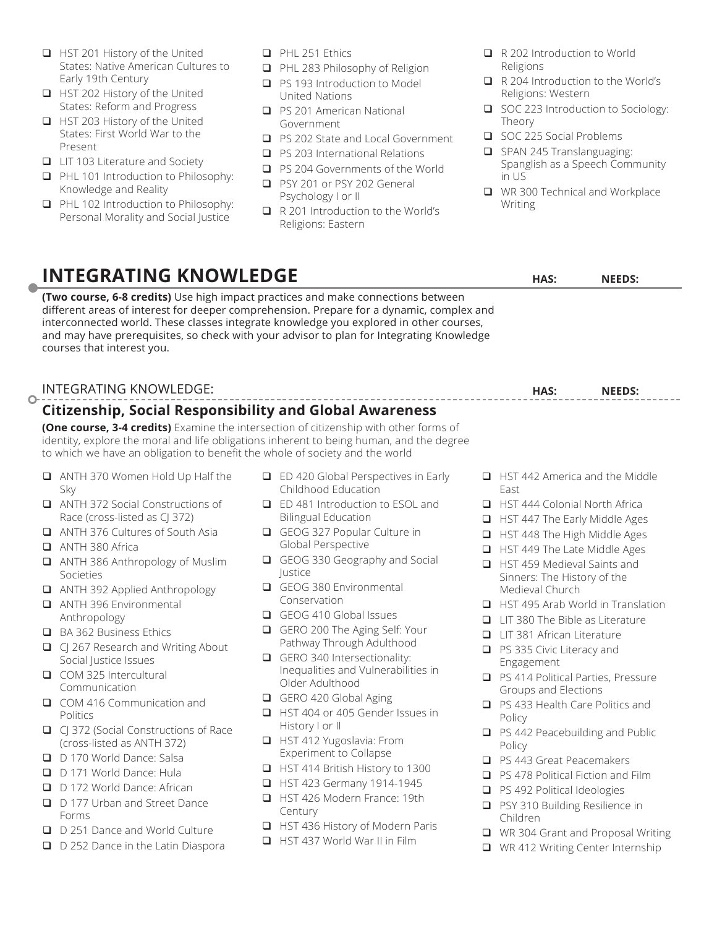- **Q** HST 201 History of the United States: Native American Cultures to Early 19th Century
- HST 202 History of the United States: Reform and Progress
- HST 203 History of the United States: First World War to the Present
- **Q** LIT 103 Literature and Society
- **□** PHL 101 Introduction to Philosophy: Knowledge and Reality
- **q** PHL 102 Introduction to Philosophy: Personal Morality and Social Justice
- **Q** PHL 251 Ethics
- □ PHL 283 Philosophy of Religion
- □ PS 193 Introduction to Model United Nations
- **Q** PS 201 American National Government
- **Q** PS 202 State and Local Government
- **q** PS 203 International Relations
- □ PS 204 Governments of the World
- □ PSY 201 or PSY 202 General Psychology I or II
- **□** R 201 Introduction to the World's Religions: Eastern
- R 202 Introduction to World Religions
- R 204 Introduction to the World's Religions: Western
- SOC 223 Introduction to Sociology: Theory
- SOC 225 Social Problems
- □ SPAN 245 Translanguaging: Spanglish as a Speech Community in US
- **■** WR 300 Technical and Workplace Writing

**HAS: NEEDS:**

## **INTEGRATING KNOWLEDGE**

**(Two course, 6-8 credits)** Use high impact practices and make connections between different areas of interest for deeper comprehension. Prepare for a dynamic, complex and interconnected world. These classes integrate knowledge you explored in other courses, and may have prerequisites, so check with your advisor to plan for Integrating Knowledge courses that interest you.

### INTEGRATING KNOWLEDGE:  $\overline{O}$

## **Citizenship, Social Responsibility and Global Awareness**

**(One course, 3-4 credits)** Examine the intersection of citizenship with other forms of identity, explore the moral and life obligations inherent to being human, and the degree to which we have an obligation to benefit the whole of society and the world

- q ANTH 370 Women Hold Up Half the Sky
- q ANTH 372 Social Constructions of Race (cross-listed as CJ 372)
- **Q** ANTH 376 Cultures of South Asia
- ANTH 380 Africa
- q ANTH 386 Anthropology of Muslim Societies
- q ANTH 392 Applied Anthropology
- ANTH 396 Environmental Anthropology
- BA 362 Business Ethics
- □ CJ 267 Research and Writing About Social Justice Issues
- □ COM 325 Intercultural Communication
- COM 416 Communication and Politics
- **□** CJ 372 (Social Constructions of Race (cross-listed as ANTH 372)
- D 170 World Dance: Salsa
- D 171 World Dance: Hula
- D 172 World Dance: African
- D 177 Urban and Street Dance Forms
- D 251 Dance and World Culture
- □ D 252 Dance in the Latin Diaspora
- **□** ED 420 Global Perspectives in Early Childhood Education
- **□** ED 481 Introduction to ESOL and Bilingual Education
- GEOG 327 Popular Culture in Global Perspective
- GEOG 330 Geography and Social Justice
- GEOG 380 Environmental Conservation
- GEOG 410 Global Issues
- GERO 200 The Aging Self: Your Pathway Through Adulthood
- GERO 340 Intersectionality: Inequalities and Vulnerabilities in Older Adulthood
- GERO 420 Global Aging
- **Q** HST 404 or 405 Gender Issues in History I or II
- **Q** HST 412 Yugoslavia: From Experiment to Collapse
- q HST 414 British History to 1300
- HST 423 Germany 1914-1945
- **Q** HST 426 Modern France: 19th Century
- HST 436 History of Modern Paris
- **□** HST 437 World War II in Film
- **Q** HST 442 America and the Middle East
- **Q** HST 444 Colonial North Africa
- **Q** HST 447 The Early Middle Ages
- **□** HST 448 The High Middle Ages
- **□** HST 449 The Late Middle Ages
- **□** HST 459 Medieval Saints and Sinners: The History of the Medieval Church
- **□** HST 495 Arab World in Translation
- **□** LIT 380 The Bible as Literature
- **□** LIT 381 African Literature
- □ PS 335 Civic Literacy and Engagement
- **□** PS 414 Political Parties, Pressure Groups and Elections
- **□** PS 433 Health Care Politics and Policy
- □ PS 442 Peacebuilding and Public Policy
- □ PS 443 Great Peacemakers
- **□** PS 478 Political Fiction and Film
- □ PS 492 Political Ideologies
- **□** PSY 310 Building Resilience in Children
- **□** WR 304 Grant and Proposal Writing
- **■** WR 412 Writing Center Internship

**HAS: NEEDS:**